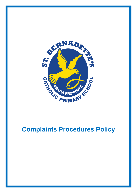

# **Complaints Procedures Policy**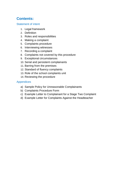# **Contents:**

#### [Statement of intent](#page-21-0)

- 1. [Legal framework](#page-2-0)
- 2. [Definition](#page-3-0)
- 3. [Roles and responsibilities](#page-3-1)
- 4. [Making a complaint](#page-6-0)
- 5. [Complaints procedure](#page-7-0)
- 6. [Interviewing witnesses](#page-10-0)
- 7. [Recording a complaint](#page-10-1)
- 8. [Complaints not covered by this procedure](#page-11-0)
- 9. [Exceptional circumstances](#page-12-0)
- 10. [Serial and persistent complainants](#page-12-1)
- 11. [Barring from the premises](#page-13-0)
- 12. [Standard of fluency complaints](#page-14-0)
- 13. [Role of the school complaints unit](#page-15-0)
- 14. [Reviewing the procedure](#page-15-1)

#### Appendices

- a) [Sample Policy for Unreasonable Complainants](#page-17-0)
- b) [Complaints Procedure Form](#page-19-0)
- c) [Example Letter to Complainant for a Stage Two](#page-20-0) Complaint
- d) [Example Letter for Complaints Against the Headteacher](#page-21-1)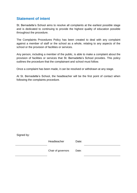## **Statement of intent**

St. Bernadette's School aims to resolve all complaints at the earliest possible stage and is dedicated to continuing to provide the highest quality of education possible throughout the procedure.

The Complaints Procedures Policy has been created to deal with any complaint against a member of staff or the school as a whole, relating to any aspects of the school or the provision of facilities or services.

Any person, including a member of the public, is able to make a complaint about the provision of facilities or services that St. Bernadette's School provides. This policy outlines the procedure that the complainant and school must follow.

Once a complaint has been made, it can be resolved or withdrawn at any stage.

At St. Bernadette's School, the headteacher will be the first point of contact when following the complaints procedure.

<span id="page-2-0"></span>

| Signed by: |                    |       |  |
|------------|--------------------|-------|--|
|            | Headteacher        | Date: |  |
|            | Chair of governors | Date: |  |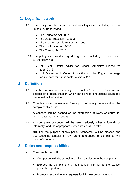# **1. Legal framework**

- 1.1. This policy has due regard to statutory legislation, including, but not limited to, the following:
	- The Education Act 2002
	- The Data Protection Act 1998
	- The Freedom of Information Act 2000
	- The Immigration Act 2016
	- The Equality Act 2010
	- 1.2. This policy also has due regard to guidance including, but not limited to, the following:
		- DfE 'Best Practice Advice for School Complaints Procedures 2016' 2016
		- HM Government 'Code of practice on the English language requirement for public sector workers' 2016

#### <span id="page-3-0"></span>**2. Definition**

- 2.1. For the purpose of this policy, a "complaint" can be defined as 'an expression of dissatisfaction' which can be regarding actions taken or a perceived lack of action.
- 2.2. Complaints can be resolved formally or informally dependent on the complainant's choice.
- 2.3. A concern can be defined as 'an expression of worry or doubt' for which reassurance is sought.
- 2.4. Any complaint or concern will be taken seriously, whether formally or informally, and the appropriate procedures shall be taken.

**NB.** For the purpose of this policy, "concerns" will be classed and addressed as complaints. Any further references to "complaints" will include "concerns".

## <span id="page-3-1"></span>**3. Roles and responsibilities**

- 3.1. The complainant will:
	- Co-operate with the school in seeking a solution to the complaint.
	- Express the complaint and their concerns in full at the earliest possible opportunity.
	- Promptly respond to any requests for information or meetings.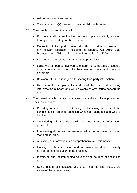- Ask for assistance as needed.
- Treat any person(s) involved in the complaint with respect.
- 3.2. The complaints co-ordinator will:
	- Ensure that all parties involved in the complaint are fully updated throughout each stage of the procedure.
	- Guarantee that all parties involved in the procedure are aware of any relevant legislation, including the Equality Act 2010, Data Protection Act 1998 and Freedom of Information Act 2000.
	- Keep up-to-date records throughout the procedure.
	- Liaise with all parties involved to ensure the complaints procedure runs smoothly, including the headteacher, clerk and chair of governors.
	- Be aware of issues in regards to sharing third party information.
	- Understand the complainant's need for additional support, including interpretation support, and will be aware of any issues concerning this.
- 3.3. The investigator is involved in stages one and two of the procedure. Their role includes:
	- Providing a sensitive and thorough interviewing process of the complainant in order to establish what has happened and who is involved.
	- Considering all records, evidence and relevant information provided.
	- Interviewing all parties that are involved in the complaint, including staff and children.
	- Analysing all information in a comprehensive and fair manner.
	- Liaising with the complainant and complaints co-ordinator to clarify an appropriate resolution to the problem.
	- Identifying and recommending solutions and courses of actions to take.
	- Being mindful of timescales and ensuring all parties involved are aware of these timescales.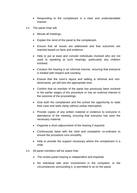- Responding to the complainant in a clear and understandable manner.
- 3.4. The panel chair will:
	- Minute all meetings.
	- Explain the remit of the panel to the complainant.
	- Ensure that all issues are addressed and that outcomes are reached based on facts and evidence.
	- Help to put at ease and console individuals involved who are not used to speaking at such hearings, particularly any children involved.
	- Conduct the hearing in an informal manner, ensuring that everyone is treated with respect and courtesy.
	- Ensure that the room's layout and setting is informal and nonadversarial, yet still sets the appropriate tone.
	- Confirm that no member of the panel has previously been involved in the earlier stages of the procedure or has an external interest in the outcome of the proceedings.
	- Give both the complainant and the school the opportunity to state their case and seek clarity without undue interruption.
	- Provide copies of any written material or evidence to everyone in attendance of the meeting, ensuring that everyone has seen the necessary material.
	- Organise a short adjournment of the hearing if required.
	- Continuously liaise with the clerk and complaints co-ordinator to ensure the procedure runs smoothly.
	- Help to provide the support necessary where the complainant is a child.
- 3.5. All panel members will be aware that:
	- The review panel hearing is independent and impartial.
	- No individual with prior involvement in the complaint, or the circumstances surrounding it, is permitted to sit on the panel.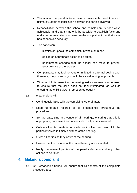- The aim of the panel is to achieve a reasonable resolution and, ultimately, attain reconciliation between the parties involved.
- Reconciliation between the school and complainant is not always achievable, and that it may only be possible to establish facts and make recommendations to reassure the complainant that their case has been taken seriously.
- The panel can:
	- − Dismiss or uphold the complaint, in whole or in part.
	- − Decide on appropriate action to be taken.
	- − Recommend changes that the school can make to prevent reoccurrence of the problem.
- Complainants may feel nervous or inhibited in a formal setting and, therefore, the proceedings should be as welcoming as possible.
- When a child is present at the hearing, extra care needs to be taken to ensure that the child does not feel intimidated, as well as ensuring the child's view is represented equally.
- 3.6. The panel clerk will:
	- Continuously liaise with the complaints co-ordinator.
	- Keep up-to-date records of all proceedings throughout the procedure.
	- Set the date, time and venue of all hearings, ensuring that this is appropriate, convenient and accessible to all parties involved.
	- Collate all written material or evidence involved and send it to the parties involved in timely advance of the hearing.
	- Greet all parties as they arrive at the hearing.
	- Ensure that the minutes of the panel hearing are circulated.
	- Notify the relevant parties of the panel's decision and any other actions to be taken.

#### <span id="page-6-0"></span>**4. Making a complaint**

4.1. St. Bernadette's School will ensure that all aspects of the complaints procedure are: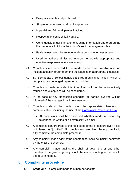- Easily accessible and publicised.
- Simple to understand and put into practice.
- Impartial and fair to all parties involved.
- Respectful of confidentiality duties.
- Continuously under improvement, using information gathered during the procedure to inform the school's senior management team.
- Fairly investigated, by an independent person when necessary.
- Used to address all issues in order to provide appropriate and effective responses where necessary.
- 4.2. Complaints are expected to be made as soon as possible after an incident arises in order to amend the issue in an appropriate timescale.
- 4.3. St. Bernadette's School upholds a three-month time limit in which a complaint can be lodged regarding an incident.
- 4.4. Complaints made outside this time limit will not be automatically refused and exceptions will be considered.
- 4.5. In the case of any timescales changing, all parties involved will be informed of the changes in a timely manner.
- 4.6. Complaints should be made using the appropriate channels of communication, including the use of the [Complaints Procedure Form.](#page-19-0)
	- All complaints shall be considered whether made in person, by telephone, in writing or electronically via email.
- 4.7. A complaint can progress to the next stage of the procedure even if it is not viewed as "justified". All complainants are given the opportunity to fully complete the complaints procedure.
- 4.8. Any complaint made against the headteacher shall be initially dealt with by the chair of governors.
- 4.9. Any complaint made against the chair of governors or any other member of the governing body should be made in writing to the clerk to the governing body.

#### <span id="page-7-0"></span>**5. Complaints procedure**

5.1. **Stage one** – Complaint made to a member of staff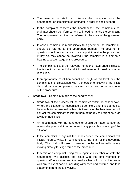- The member of staff can discuss the complaint with the headteacher or complaints co-ordinator in order to seek support.
- If the complaint concerns the headteacher, the complaints coordinator should be informed and will need to handle the complaint. The complainant can then be referred to the chair of the governing body.
- In case a complaint is made initially to a governor, the complainant should be referred to the appropriate person. The governor in question should not act alone on a complaint outside the procedure; if they do, they cannot be involved if the complaint is subject to a hearing at a later stage of the procedure.
- The complainant and the relevant member of staff should discuss the issue in a respectful and informal manner to seek a mutual resolution.
- If an appropriate resolution cannot be sought at this level, or if the complainant is dissatisfied with the outcome following the initial discussions, the complainant may wish to proceed to the next level of the procedure.
- 5.2. **Stage two** Complaint made to the headteacher
	- Stage two of the process will be completed within 15 school days. Where the situation is recognised as complex, and it is deemed to be unable to be resolved within this timescale, the headteacher will contact the complainant to inform them of the revised target date via a written notification.
	- An appointment with the headteacher should be made, as soon as reasonably practical, in order to avoid any possible worsening of the situation.
	- If the complaint is against the headteacher, the complainant will initially need to write, in confidence, to the chair of the governing body. The chair will seek to resolve the issue informally before moving directly to stage three of the procedure.
	- In terms of a complaint being made against a member of staff, the headteacher will discuss the issue with the staff member in question. Where necessary, the headteacher will conduct interviews with any relevant parties, including witnesses and children, and take statements from those involved.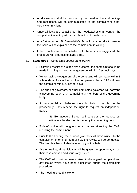- All discussions shall be recorded by the headteacher and findings and resolutions will be communicated to the complainant either verbally or in writing.
- Once all facts are established, the headteacher shall contact the complainant in writing with an explanation of the decision.
- Any further action St. Bernadette's School plans to take to resolve the issue will be explained to the complainant in writing.
- If the complainant is not satisfied with the outcome suggested, the procedure will progress to stage three.
- 5.3. **Stage three** Complaints appeal panel (CAP)
	- Following receipt of a stage two outcome, the complaint should be made in writing to the chair of governors within 10 school days.
	- Written acknowledgement of the complaint will be made within 3 school days. This will inform the complainant that a CAP will hear the complaint within 20 school days.
	- The chair of governors, or other nominated governor, will convene a governing body CAP comprising 3 members of the governing body.
	- If the complainant believes there is likely to be bias in the proceedings, they reserve the right to request an independent panel.
		- St. Bernadette's School will consider the request but ultimately the decision is made by the governing body.
	- 5 days' notice will be given to all parties attending the CAP, including the complainant.
	- Prior to the hearing, the chair of governors will have written to the complainant informing them of how the review will be conducted. The headteacher will also have a copy of this letter.
	- At the hearing, all participants will be given the opportunity to put their case across and discuss any issues.
	- The CAP will consider issues raised in the original complaint and any issues which have been highlighted during the complaints procedure.
	- The meeting should allow for: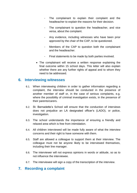- The complainant to explain their complaint and the headteacher to explain the reasons for their decision.
- The complainant to question the headteacher, and vice versa, about the complaint.
- Any evidence, including witnesses who have been prior approved by the chair of the CAP, to be questioned.
- Members of the CAP to question both the complainant and the headteacher.
- Final statements to be made by both parties involved.
- The complainant will receive a written response explaining the final outcome within 15 school days. This letter will also explain whether there are any further rights of appeal and to whom they need to be addressed.

#### <span id="page-10-0"></span>**6. Interviewing witnesses**

- 6.1. When interviewing children in order to gather information regarding a complaint, the interview should be conducted in the presence of another member of staff or, in the case of serious complaints, e.g. where the possibility of criminal investigation exists, in the presence of their parents/carers.
- 6.2. St. Bernadette's School will ensure that the conduction of interviews does not prejudice an LA designated officer's (LADO), or police, investigation.
- 6.3. The school understands the importance of ensuring a friendly and relaxed area which is free from intimidation.
- 6.4. All children interviewed will be made fully aware of what the interview concerns and their right to have someone with them.
- 6.5. Staff are allowed a colleague to support them at their interview. The colleague must not be anyone likely to be interviewed themselves, including their line manager.
- 6.6. The interviewer will not express opinions in words or attitude, so as to not influence the interviewee.
- 6.7. The interviewee will sign a copy of the transcription of the interview.

## <span id="page-10-1"></span>**7. Recording a complaint**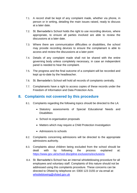- 7.1. A record shall be kept of any complaint made, whether via phone, in person or in writing, detailing the main issues raised, ready to discuss at a later date.
- 7.2. St. Bernadette's School holds the right to use recording devices, where appropriate, to ensure all parties involved are able to review the discussions at a later date.
- 7.3. Where there are communication difficulties or disabilities, the school may provide recording devices to ensure the complainant is able to access and review the discussions at a later point
- 7.4. Details of any complaint made shall not be shared with the entire governing body unless completely necessary, in case an independent panel is needed to hear the complaint.
- 7.5. The progress and the final outcome of a complaint will be recorded and kept up-to-date by the headteacher.
- 7.6. St. Bernadette's School will hold all records of complaints centrally.
- 7.7. Complainants have a right to access copies of these records under the Freedom of Information and Data Protection Acts.

## <span id="page-11-0"></span>**8. Complaints not covered by this procedure**

- 8.1. Complaints regarding the following topics should be directed to the LA:
	- Statutory assessments of Special Educational Needs and **Disabilities**
	- School re-organisation proposals
	- Matters which may require a Child Protection Investigation
	- Admissions to schools
- 8.2. Complaints concerning admissions will be directed to the appropriate admissions authority.
- 8.3. Complaints about children being excluded from the school should be dealt with by following the process explained at: <https://www.gov.uk/school-discipline-exclusions/exclusions>
- 8.4. St. Bernadette's School has an internal whistleblowing procedure for all employees and voluntary staff. Complaints of this nature should not be addressed using this complaints procedure. These concerns can be directed to Ofsted by telephone on: 0300 123 3155 or via email at: [whistleblowing@ofsted.gov.uk](mailto:whistleblowing@ofsted.gov.uk)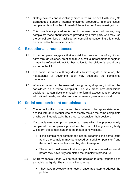- 8.5. Staff grievances and disciplinary procedures will be dealt with using St. Bernadette's School's internal grievance procedure. In these cases, complainants will not be informed of the outcome of any investigations.
- 8.6. This complaints procedure is not to be used when addressing any complaints made about services provided by a third party who may use the school premises or facilities. All complaints concerning this should be directed to the service provider.

#### <span id="page-12-0"></span>**9. Exceptional circumstances**

- 9.1. If the complaint suggests that a child has been at risk of significant harm through violence, emotional abuse, sexual harassment or neglect, it may be referred without further notice to the children's social care and/or to the LA.
- 9.2. If a social services authority decides to investigate a situation, the headteacher or governing body may postpone the complaints procedure.
- 9.3. Where a matter can be resolved through a legal appeal, it will not be considered as a formal complaint. The key areas are: admissions decisions, certain decisions relating to formal assessment of special educational needs, and decisions to permanently exclude a child.

## <span id="page-12-1"></span>**10. Serial and persistent complainants**

- 10.1. The school will act in a manner they believe to be appropriate when dealing with an individual who consistently makes the same complaints or who continuously asks the school to reconsider their position.
- 10.2. If a complainant attempts to re-open an issue which has previously fully completed the complaints procedure, the chair of the governing body will inform the complainant that the matter is now closed.
	- If the complainant contacts the school regarding the same issue again, the complaint may be classed as 'serial' or 'persistent' and the school does not have an obligation to respond.
	- The school must ensure that a complaint is not classed as 'serial' before they have fully completed the complaints procedure.
- 10.3. St. Bernadette's School will not take the decision to stop responding to an individual lightly. The school will ensure that:
	- They have previously taken every reasonable step to address the problem.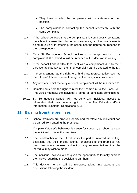- They have provided the complainant with a statement of their position.
- The complainant is contacting the school repeatedly with the same complaint.
- 10.4. If the school believes that the complainant is continuously contacting the school to cause disruption or inconvenience, or if the complainant is being abusive or threatening, the school has the right to not respond to the correspondent.
- 10.5. Once St. Bernadette's School decides to no longer respond to a complainant, the individual will be informed of this decision in writing.
- 10.6. If the school finds it difficult to deal with a complainant due to their unreasonable behaviour, then their complaint can be directed to the LA.
- 10.7. The complainant has the right to a third party representative, such as the Citizens' Advice Bureau, throughout the complaints procedure.
- 10.8. Any new complaint made by a 'serial' complainant will be responded to.
- 10.9. Complainants hold the right to refer their complaint to their local MP. This would not make the individual a 'serial' or 'persistent' complainant.
- 10.10. St. Bernadette's School will not deny any individual access to information that they have a right to under The Education (Pupil Information) (England) Regulations 2005.

#### <span id="page-13-0"></span>**11. Barring from the premises**

- 11.1. School premises are private property and therefore any individual can be barred from entering the premises.
- 11.2. If a parent's/carer's behaviour is cause for concern, a school can ask the individual to leave the premises.
- 11.3. The headteacher or the LA will notify the parties involved via writing, explaining that their implied licence for access to the premises has been temporarily revoked subject to any representations that the individual may wish to make.
- 11.4. The individual involved will be given the opportunity to formally express their views regarding the decision to bar them.
- 11.5. This decision to bar will be reviewed, taking into account any discussions following the incident.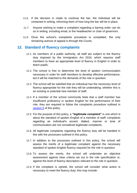- 11.6. If the decision is made to continue the bar, the individual will be contacted in writing, informing them of how long the bar will be in place.
- 11.7. Anyone wishing to make a complaint regarding a barring order can do so in writing, including email, to the headteacher or chair of governors.
- 11.8. Once the school's complaints procedure is completed, the only remaining avenue of appeal is through the Courts.

#### <span id="page-14-0"></span>**12. Standard of fluency complaints**

- 12.1. As members of a public authority, all staff are subject to the fluency duty imposed by the Immigration Act 2016, which requires staff members to have an appropriate level of fluency in English in order to teach pupils.
- 12.2. The school is free to determine the level of spoken communication necessary in order for staff members to develop effective performance, but it will be matched to the demands of the role in question.
- 12.3. The school will be satisfied that an individual has the necessary level of fluency appropriate for the role they will be undertaking, whether this is an existing or potential new member of staff.
- 12.4. If a member of the school community feels that a staff member has insufficient proficiency in spoken English for the performance of their role, they are required to follow the complaints procedure outlined in [section 5](#page-7-0) of this policy.
- 12.5. For the purpose of this policy, a **"legitimate complaint"** is one which is about the standard of spoken English of a member of staff; complaints regarding an individual's accent, dialect, manner or tone of communication are not considered legitimate complaints.
- 12.6. All legitimate complaints regarding the fluency duty will be handled in line with the processes outlined in this policy.
- 12.7. In addition to the processes outlined in this policy, the school will assess the merits of a legitimate complaint against the necessary standard of spoken English fluency required for the role in question.
- 12.8. To assess the merits, the school will undertake an objective assessment against clear criteria set out in the role specification or, against the level of fluency descriptors relevant to the role in question.
- 12.9. If the complaint is upheld, the school will consider what action is necessary to meet the fluency duty; this may include: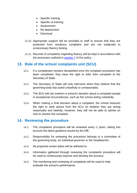- Specific training
- Specific re-training
- Assessment
- Re-deployment
- Dismissal
- 12.10. Appropriate support will be provided to staff to ensure that they are protected from vexatious complains and are not subjected to unnecessary fluency testing.
- 12.11. Records of complaints regarding fluency will be kept in accordance with the processes outlined in [section 7](#page-10-1) of this policy.

## <span id="page-15-0"></span>**13. Role of the school complaints unit (SCU)**

- 13.1. If a complainant remains dissatisfied once the complaint procedure has been completed, they have the right to refer their complaint to the Secretary of State.
- 13.2. The Secretary of State will only intervene when they believe that the governing body has acted unlawfully or unreasonably.
- 13.3. The SCU will not overturn a school's decision about a complaint except in exceptional circumstances, such as the school acting unlawfully.
- 13.4. When making a final decision about a complaint, the school reserves the right to seek advice from the SCU on whether they are acting reasonably and lawfully; however, they will not be able to advise on how to resolve the complaint.

#### <span id="page-15-1"></span>**14. Reviewing the procedure**

- 14.1. The complaints procedure will be reviewed every 2 years, taking into account the latest guidance issued by the DfE.
- 14.2. Responsibility for reviewing the procedure belongs to a committee of the governing body, an individual governor or the headteacher.
- 14.3. All projected review dates will be adhered to.
- 14.4. Information gathered through reviewing the complaints procedure will be used to continuously improve and develop the process.
- 14.5. The monitoring and reviewing of complaints will be used to help evaluate the school's performance.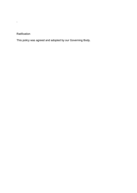#### Ratification

.

This policy was agreed and adopted by our Governing Body.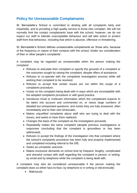# <span id="page-17-0"></span>**Policy for Unreasonable Complainants**

St. Bernadette's School is committed to dealing with all complaints fairly and impartially, and to providing a high quality service to those who complain. We will not normally limit the contact complainants have with the school; however, we do not expect our staff to tolerate unacceptable behaviour and will take action to protect staff from that behaviour, including that which is abusive, offensive or threatening.

St. Bernadette's School defines unreasonable complainants as 'those who, because of the frequency or nature of their contacts with the school, hinder our consideration of their or other people's complaints'.

A complaint may be regarded as unreasonable when the person making the complaint:

- Refuses to articulate their complaint or specify the grounds of a complaint or the outcomes sought by raising the complaint, despite offers of assistance.
- Refuses to co-operate with the complaints investigation process while still wishing their complaint to be resolved.
- Refuses to accept that certain issues are not within the scope of a complaints procedure.
- Insists on the complaint being dealt with in ways which are incompatible with the adopted complaints procedure or with good practice.
- Introduces trivial or irrelevant information which the complainant expects to be taken into account and commented on, or raises large numbers of detailed but unimportant questions, and insists they are fully answered, often immediately and to their own timescales.
- Makes unjustified complaints about staff who are trying to deal with the issues, and seeks to have them replaced.
- Changes the basis of the complaint as the investigation proceeds.
- Repeatedly makes the same complaint (despite previous investigations or responses concluding that the complaint is groundless or has been addressed).
- Refuses to accept the findings of the investigation into that complaint where the school's complaints procedure has been fully and properly implemented and completed including referral to the DfE.
- Seeks an unrealistic outcome.
- Makes excessive demands on school time by frequent, lengthy, complicated and stressful contact with staff regarding the complaint in person, in writing, by email and by telephone while the complaint is being dealt with.

A complaint may also be considered unreasonable if the person making the complaint does so either face-to-face, by telephone or in writing or electronically:

• Maliciously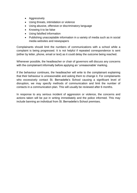- Aggressively
- Using threats, intimidation or violence
- Using abusive, offensive or discriminatory language
- Knowing it to be false
- Using falsified information
- Publishing unacceptable information in a variety of media such as in social media websites and newspapers

Complainants should limit the numbers of communications with a school while a complaint is being progressed. It is not helpful if repeated correspondence is sent (either by letter, phone, email or text) as it could delay the outcome being reached.

Whenever possible, the headteacher or chair of governors will discuss any concerns with the complainant informally before applying an 'unreasonable' marking.

If the behaviour continues, the headteacher will write to the complainant explaining that their behaviour is unreasonable and asking them to change it. For complainants who excessively contact St. Bernadette's School causing a significant level of disruption, we may specify methods of communication and limit the number of contacts in a communication plan. This will usually be reviewed after 6 months.

In response to any serious incident of aggression or violence, the concerns and actions taken will be put in writing immediately and the police informed. This may include banning an individual from St. Bernadette's School premises.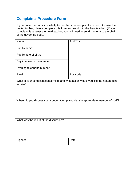# <span id="page-19-0"></span>**Complaints Procedure Form**

If you have tried unsuccessfully to resolve your complaint and wish to take the matter further, please complete this form and send it to the headteacher. (If your complaint is against the headteacher, you will need to send the form to the chair of the governing body.)

| Name:                                                                                         | Address:  |  |  |  |
|-----------------------------------------------------------------------------------------------|-----------|--|--|--|
| Pupil's name:                                                                                 |           |  |  |  |
| Pupil's date of birth:                                                                        |           |  |  |  |
| Daytime telephone number:                                                                     |           |  |  |  |
| Evening telephone number:                                                                     |           |  |  |  |
| Email:                                                                                        | Postcode: |  |  |  |
| What is your complaint concerning, and what action would you like the headteacher<br>to take? |           |  |  |  |
| When did you discuss your concern/complaint with the appropriate member of staff?             |           |  |  |  |
| What was the result of the discussion?                                                        |           |  |  |  |
| Signed:                                                                                       | Date:     |  |  |  |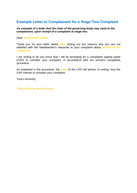# <span id="page-20-0"></span>**Example Letter to Complainant for a Stage Two Complaint**

#### *An example of a letter that the chair of the governing body may send to the complainant, upon receipt of a complaint at stage two.*

Dear **addressee's name**,

Thank you for your letter dated **date** setting out the reasons why you are not satisfied with the headteacher's response to your complaint about **details of the complaint**.

I am writing to let you know that I will be arranging for a complaints appeal panel (CAP) to consider your complaint, in accordance with our school's complaints procedure.

As explained in the procedure, the **chair** of the CAP will advise, in writing, how the CAP intends to consider your complaint.

Yours sincerely,

**Chair of the governing body**